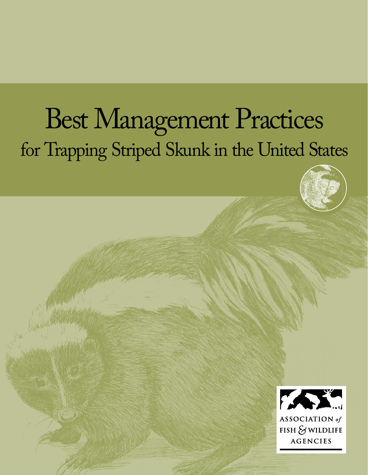# Best Management Practices for Trapping Striped Skunk in the United States





 $FISH$   $\&$  wildlife **AGENCIES**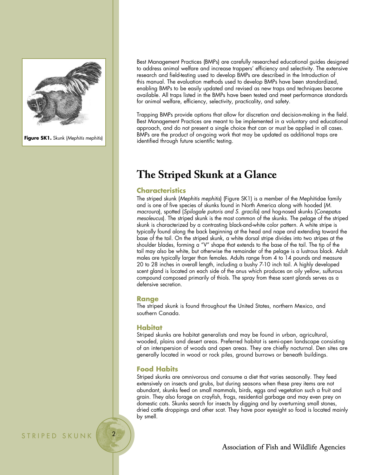

**Figure SK1.** Skunk (*Mephitis mephitis*)

Best Management Practices (BMPs) are carefully researched educational guides designed to address animal welfare and increase trappers' efficiency and selectivity. The extensive research and field-testing used to develop BMPs are described in the Introduction of this manual. The evaluation methods used to develop BMPs have been standardized, enabling BMPs to be easily updated and revised as new traps and techniques become available. All traps listed in the BMPs have been tested and meet performance standards for animal welfare, efficiency, selectivity, practicality, and safety.

Trapping BMPs provide options that allow for discretion and decision-making in the field. Best Management Practices are meant to be implemented in a voluntary and educational approach, and do not present a single choice that can or must be applied in all cases. BMPs are the product of on-going work that may be updated as additional traps are identified through future scientific testing.

# **The Striped Skunk at a Glance**

# **Characteristics**

The striped skunk (*Mephitis mephitis*) (Figure SK1) is a member of the Mephitidae family and is one of five species of skunks found in North America along with hooded (*M. macroura*), spotted (*Spilogale putoris and S. gracilis*) and hog-nosed skunks (*Conepatus mesoleucus*). The striped skunk is the most common of the skunks. The pelage of the striped skunk is characterized by a contrasting black-and-white color pattern. A white stripe is typically found along the back beginning at the head and nape and extending toward the base of the tail. On the striped skunk, a white dorsal stripe divides into two stripes at the shoulder blades, forming a "V" shape that extends to the base of the tail. The tip of the tail may also be white, but otherwise the remainder of the pelage is a lustrous black. Adult males are typically larger than females. Adults range from 4 to 14 pounds and measure 20 to 28 inches in overall length, including a bushy 7-10 inch tail. A highly developed scent gland is located on each side of the anus which produces an oily yellow, sulfurous compound composed primarily of thiols. The spray from these scent glands serves as a defensive secretion.

# **Range**

The striped skunk is found throughout the United States, northern Mexico, and southern Canada.

# **Habitat**

Striped skunks are habitat generalists and may be found in urban, agricultural, wooded, plains and desert areas. Preferred habitat is semi-open landscape consisting of an interspersion of woods and open areas. They are chiefly nocturnal. Den sites are generally located in wood or rock piles, ground burrows or beneath buildings.

# **Food Habits**

Striped skunks are omnivorous and consume a diet that varies seasonally. They feed extensively on insects and grubs, but during seasons when these prey items are not abundant, skunks feed on small mammals, birds, eggs and vegetation such a fruit and grain. They also forage on crayfish, frogs, residential garbage and may even prey on domestic cats. Skunks search for insects by digging and by overturning small stones, dried cattle droppings and other scat. They have poor eyesight so food is located mainly by smell.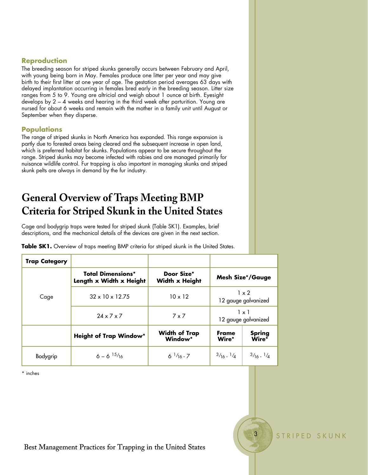# **Reproduction**

The breeding season for striped skunks generally occurs between February and April, with young being born in May. Females produce one litter per year and may give birth to their first litter at one year of age. The gestation period averages 63 days with delayed implantation occurring in females bred early in the breeding season. Litter size ranges from 5 to 9. Young are altricial and weigh about 1 ounce at birth. Eyesight develops by 2 – 4 weeks and hearing in the third week after parturition. Young are nursed for about 6 weeks and remain with the mother in a family unit until August or September when they disperse.

# **Populations**

The range of striped skunks in North America has expanded. This range expansion is partly due to forested areas being cleared and the subsequent increase in open land, which is preferred habitat for skunks. Populations appear to be secure throughout the range. Striped skunks may become infected with rabies and are managed primarily for nuisance wildlife control. Fur trapping is also important in managing skunks and striped skunk pelts are always in demand by the fur industry.

# **General Overview of Traps Meeting BMP Criteria for Striped Skunk in the United States**

Cage and bodygrip traps were tested for striped skunk (Table SK1). Examples, brief descriptions, and the mechanical details of the devices are given in the next section.

|  |  |  | Table SK1. Overview of traps meeting BMP criteria for striped skunk in the United States. |
|--|--|--|-------------------------------------------------------------------------------------------|
|--|--|--|-------------------------------------------------------------------------------------------|

| <b>Trap Category</b> |                                                     |                                     |                                     |                              |
|----------------------|-----------------------------------------------------|-------------------------------------|-------------------------------------|------------------------------|
| Cage                 | <b>Total Dimensions*</b><br>Length x Width x Height | Door Size*<br><b>Width x Height</b> | <b>Mesh Size*/Gauge</b>             |                              |
|                      | $32 \times 10 \times 12.75$                         | $10 \times 12$                      | $1 \times 2$<br>12 gauge galvanized |                              |
|                      | $24 \times 7 \times 7$                              | $7 \times 7$                        | $1 \times 1$<br>12 gauge galvanized |                              |
|                      | <b>Height of Trap Window*</b>                       | <b>Width of Trap</b><br>Window*     | Frame<br>Wire*                      | Spring<br>Wire*              |
| Bodygrip             | $6 - 6$ $15/16$                                     | $6^{1/16} - 7$                      | $3/16 - 1/4$                        | $\frac{3}{16}$ $\frac{1}{4}$ |

3 STRIPED SKUNK

\* inches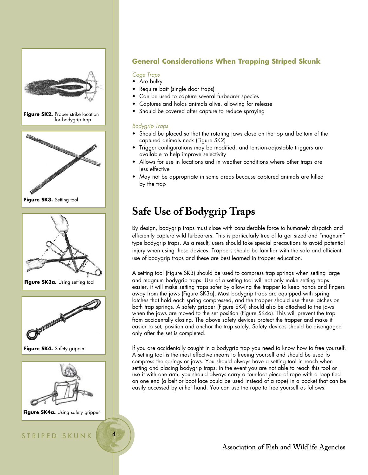

# **General Considerations When Trapping Striped Skunk**

# *Cage Traps*

- Are bulky
- Require bait (single door traps)
- Can be used to capture several furbearer species
- Captures and holds animals alive, allowing for release
- Should be covered after capture to reduce spraying

# *Bodygrip Traps*

- Should be placed so that the rotating jaws close on the top and bottom of the captured animals neck (Figure SK2)
- Trigger configurations may be modified, and tension-adjustable triggers are available to help improve selectivity
- Allows for use in locations and in weather conditions where other traps are less effective
- May not be appropriate in some areas because captured animals are killed by the trap

# **Safe Use of Bodygrip Traps**

By design, bodygrip traps must close with considerable force to humanely dispatch and efficiently capture wild furbearers. This is particularly true of larger sized and "magnum" type bodygrip traps. As a result, users should take special precautions to avoid potential injury when using these devices. Trappers should be familiar with the safe and efficient use of bodygrip traps and these are best learned in trapper education.

A setting tool (Figure SK3) should be used to compress trap springs when setting large and magnum bodygrip traps. Use of a setting tool will not only make setting traps easier, it will make setting traps safer by allowing the trapper to keep hands and fingers away from the jaws (Figure SK3a). Most bodygrip traps are equipped with spring latches that hold each spring compressed, and the trapper should use these latches on both trap springs. A safety gripper (Figure SK4) should also be attached to the jaws when the jaws are moved to the set position (Figure SK4a). This will prevent the trap from accidentally closing. The above safety devices protect the trapper and make it easier to set, position and anchor the trap safely. Safety devices should be disengaged only after the set is completed.

If you are accidentally caught in a bodygrip trap you need to know how to free yourself. A setting tool is the most effective means to freeing yourself and should be used to compress the springs or jaws. You should always have a setting tool in reach when setting and placing bodygrip traps. In the event you are not able to reach this tool or use it with one arm, you should always carry a four-foot piece of rope with a loop tied on one end (a belt or boot lace could be used instead of a rope) in a pocket that can be easily accessed by either hand. You can use the rope to free yourself as follows:

# Association of Fish and Wildlife Agencies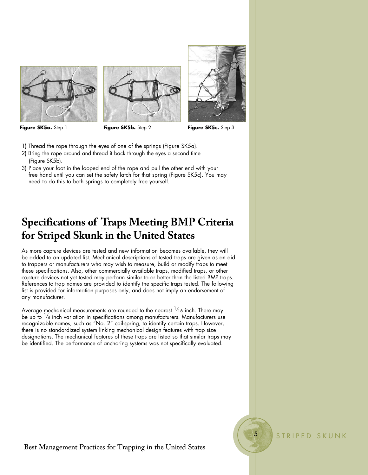





 **Figure SK5a.** Step 1 **Figure SK5b.** Step 2 **Figure SK5c.** Step 3

- 1) Thread the rope through the eyes of one of the springs (Figure SK5a).
- 2) Bring the rope around and thread it back through the eyes a second time (Figure SK5b).
- 3) Place your foot in the looped end of the rope and pull the other end with your free hand until you can set the safety latch for that spring (Figure SK5c). You may need to do this to both springs to completely free yourself.

# **Specifications of Traps Meeting BMP Criteria for Striped Skunk in the United States**

As more capture devices are tested and new information becomes available, they will be added to an updated list. Mechanical descriptions of tested traps are given as an aid to trappers or manufacturers who may wish to measure, build or modify traps to meet these specifications. Also, other commercially available traps, modified traps, or other capture devices not yet tested may perform similar to or better than the listed BMP traps. References to trap names are provided to identify the specific traps tested. The following list is provided for information purposes only, and does not imply an endorsement of any manufacturer.

Average mechanical measurements are rounded to the nearest  $^{1/2}$ 6 inch. There may be up to  $\frac{1}{8}$  inch variation in specifications among manufacturers. Manufacturers use recognizable names, such as "No. 2" coil-spring, to identify certain traps. However, there is no standardized system linking mechanical design features with trap size designations. The mechanical features of these traps are listed so that similar traps may be identified. The performance of anchoring systems was not specifically evaluated.

STRIPED SKUNK

 $\overline{5}$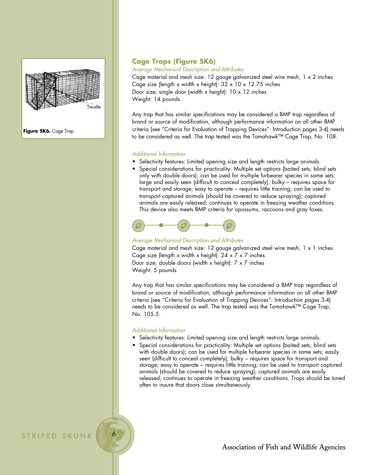

**Figure SK6.** Cage Trap

# **Cage Traps (Figure SK6)**

*Average Mechanical Description and Attributes*

Cage material and mesh size: 12 gauge galvanized steel wire mesh, 1 x 2 inches Cage size (length x width x height):  $32 \times 10 \times 12.75$  inches Door size; single door (width x height): 10 x 12 inches Weight: 14 pounds

Any trap that has similar specifications may be considered a BMP trap regardless of brand or source of modification, although performance information on all other BMP criteria (see "Criteria for Evaluation of Trapping Devices": Introduction pages 3-4) needs to be considered as well. The trap tested was the Tomahawk™ Cage Trap, No. 108.

#### *Additional Information*

- Selectivity features: Limited opening size and length restricts large animals.
- Special considerations for practicality: Multiple set options (baited sets; blind sets only with double doors); can be used for multiple furbearer species in same sets; large and easily seen (difficult to conceal completely); bulky – requires space for transport and storage; easy to operate – requires little training; can be used to transport captured animals (should be covered to reduce spraying); captured animals are easily released; continues to operate in freezing weather conditions. This device also meets BMP criteria for opossums, raccoons and gray foxes.



## *Average Mechanical Description and Attributes*

Cage material and mesh size: 12 gauge galvanized steel wire mesh, 1 x 1 inches Cage size (length x width x height):  $24 \times 7 \times 7$  inches Door size; double doors (width x height): 7 x 7 inches Weight: 5 pounds

Any trap that has similar specifications may be considered a BMP trap regardless of brand or source of modification, although performance information on all other BMP criteria (see "Criteria for Evaluation of Trapping Devices": Introduction pages 3-4) needs to be considered as well. The trap tested was the Tomahawk™ Cage Trap, No. 105.5.

#### *Additional Information*

- Selectivity features: Limited opening size and length restricts large animals.
- Special considerations for practicality: Multiple set options (baited sets; blind sets with double doors); can be used for multiple furbearer species in same sets; easily seen (difficult to conceal completely); bulky – requires space for transport and storage; easy to operate – requires little training; can be used to transport captured animals (should be covered to reduce spraying); captured animals are easily released; continues to operate in freezing weather conditions. Traps should be tuned often to insure that doors close simultaneously.

STRIPED SKUNK

Association of Fish and Wildlife Agencies